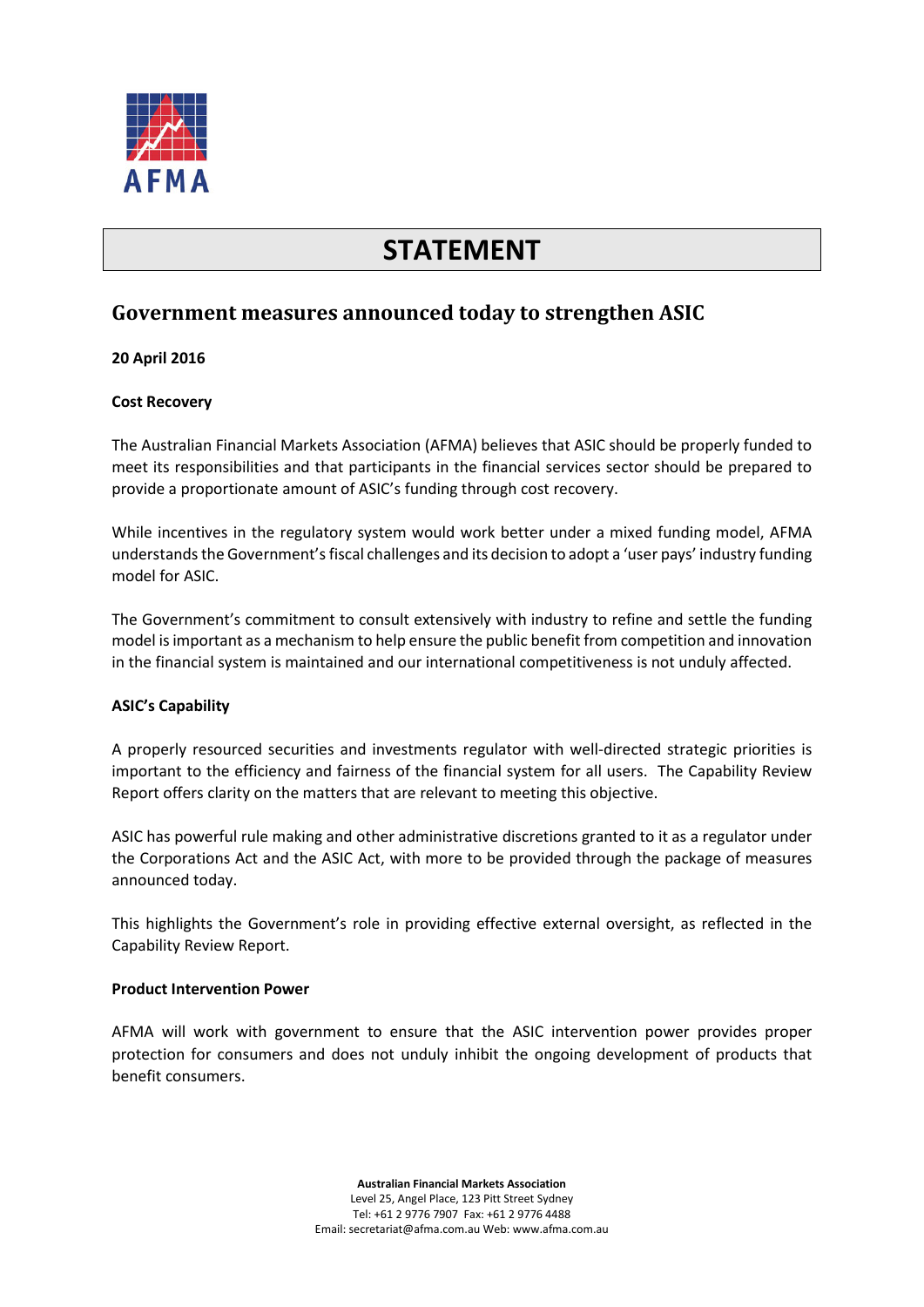

# **STATEMENT**

# **Government measures announced today to strengthen ASIC**

### **20 April 2016**

#### **Cost Recovery**

The Australian Financial Markets Association (AFMA) believes that ASIC should be properly funded to meet its responsibilities and that participants in the financial services sector should be prepared to provide a proportionate amount of ASIC's funding through cost recovery.

While incentives in the regulatory system would work better under a mixed funding model, AFMA understands the Government's fiscal challenges and its decision to adopt a 'user pays' industry funding model for ASIC.

The Government's commitment to consult extensively with industry to refine and settle the funding model is important as a mechanism to help ensure the public benefit from competition and innovation in the financial system is maintained and our international competitiveness is not unduly affected.

# **ASIC's Capability**

A properly resourced securities and investments regulator with well-directed strategic priorities is important to the efficiency and fairness of the financial system for all users. The Capability Review Report offers clarity on the matters that are relevant to meeting this objective.

ASIC has powerful rule making and other administrative discretions granted to it as a regulator under the Corporations Act and the ASIC Act, with more to be provided through the package of measures announced today.

This highlights the Government's role in providing effective external oversight, as reflected in the Capability Review Report.

#### **Product Intervention Power**

AFMA will work with government to ensure that the ASIC intervention power provides proper protection for consumers and does not unduly inhibit the ongoing development of products that benefit consumers.